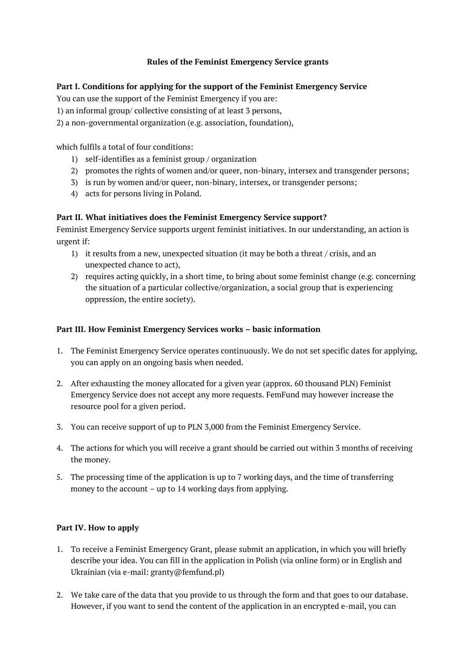# Rules of the Feminist Emergency Service grants

#### Part I. Conditions for applying for the support of the Feminist Emergency Service

You can use the support of the Feminist Emergency if you are:

1) an informal group/ collective consisting of at least 3 persons,

2) a non-governmental organization (e.g. association, foundation),

which fulfils a total of four conditions:

- 1) self-identifies as a feminist group / organization
- 2) promotes the rights of women and/or queer, non-binary, intersex and transgender persons;
- 3) is run by women and/or queer, non-binary, intersex, or transgender persons;
- 4) acts for persons living in Poland.

#### Part II. What initiatives does the Feminist Emergency Service support?

Feminist Emergency Service supports urgent feminist initiatives. In our understanding, an action is urgent if:

- 1) it results from a new, unexpected situation (it may be both a threat / crisis, and an unexpected chance to act),
- 2) requires acting quickly, in a short time, to bring about some feminist change (e.g. concerning the situation of a particular collective/organization, a social group that is experiencing oppression, the entire society).

#### Part III. How Feminist Emergency Services works – basic information

- 1. The Feminist Emergency Service operates continuously. We do not set specific dates for applying, you can apply on an ongoing basis when needed.
- 2. After exhausting the money allocated for a given year (approx. 60 thousand PLN) Feminist Emergency Service does not accept any more requests. FemFund may however increase the resource pool for a given period.
- 3. You can receive support of up to PLN 3,000 from the Feminist Emergency Service.
- 4. The actions for which you will receive a grant should be carried out within 3 months of receiving the money.
- 5. The processing time of the application is up to 7 working days, and the time of transferring money to the account – up to 14 working days from applying.

# Part IV. How to apply

- 1. To receive a Feminist Emergency Grant, please submit an application, in which you will briefly describe your idea. You can fill in the application in Polish (via online form) or in English and Ukrainian (via e-mail: granty@femfund.pl)
- 2. We take care of the data that you provide to us through the form and that goes to our database. However, if you want to send the content of the application in an encrypted e-mail, you can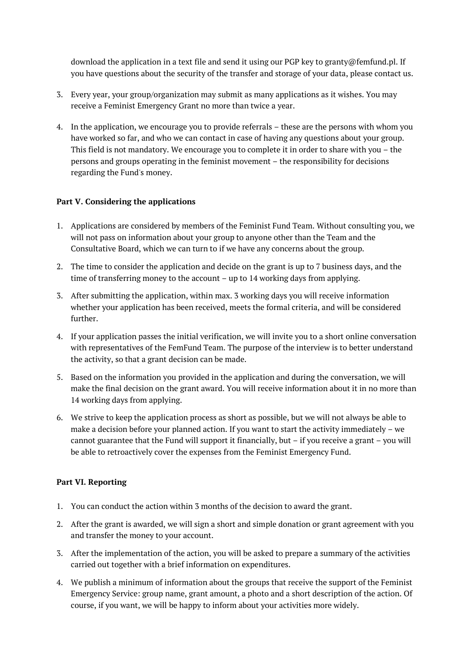download the application in a text file and send it using our PGP key to granty@femfund.pl. If you have questions about the security of the transfer and storage of your data, please contact us.

- 3. Every year, your group/organization may submit as many applications as it wishes. You may receive a Feminist Emergency Grant no more than twice a year.
- 4. In the application, we encourage you to provide referrals these are the persons with whom you have worked so far, and who we can contact in case of having any questions about your group. This field is not mandatory. We encourage you to complete it in order to share with you – the persons and groups operating in the feminist movement – the responsibility for decisions regarding the Fund's money.

# Part V. Considering the applications

- 1. Applications are considered by members of the Feminist Fund Team. Without consulting you, we will not pass on information about your group to anyone other than the Team and the Consultative Board, which we can turn to if we have any concerns about the group.
- 2. The time to consider the application and decide on the grant is up to 7 business days, and the time of transferring money to the account – up to 14 working days from applying.
- 3. After submitting the application, within max. 3 working days you will receive information whether your application has been received, meets the formal criteria, and will be considered further.
- 4. If your application passes the initial verification, we will invite you to a short online conversation with representatives of the FemFund Team. The purpose of the interview is to better understand the activity, so that a grant decision can be made.
- 5. Based on the information you provided in the application and during the conversation, we will make the final decision on the grant award. You will receive information about it in no more than 14 working days from applying.
- 6. We strive to keep the application process as short as possible, but we will not always be able to make a decision before your planned action. If you want to start the activity immediately – we cannot guarantee that the Fund will support it financially, but – if you receive a grant – you will be able to retroactively cover the expenses from the Feminist Emergency Fund.

# Part VI. Reporting

- 1. You can conduct the action within 3 months of the decision to award the grant.
- 2. After the grant is awarded, we will sign a short and simple donation or grant agreement with you and transfer the money to your account.
- 3. After the implementation of the action, you will be asked to prepare a summary of the activities carried out together with a brief information on expenditures.
- 4. We publish a minimum of information about the groups that receive the support of the Feminist Emergency Service: group name, grant amount, a photo and a short description of the action. Of course, if you want, we will be happy to inform about your activities more widely.